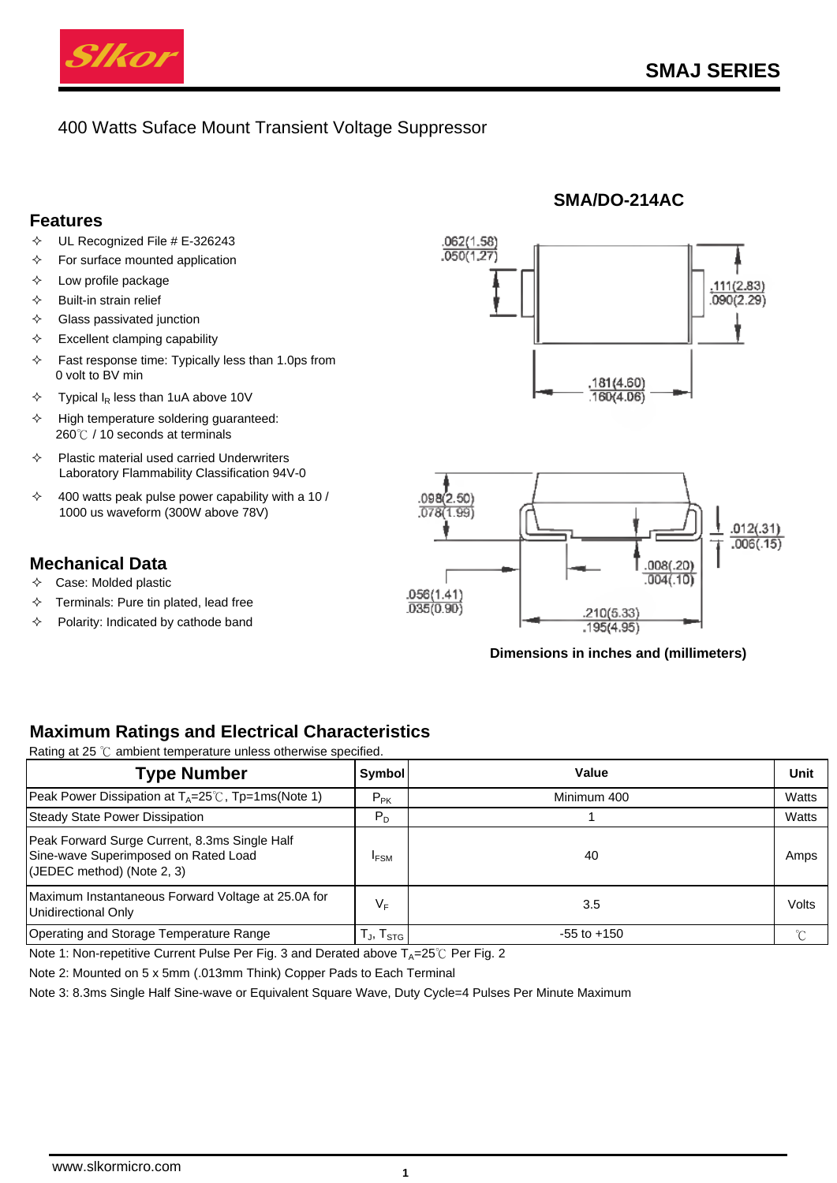

# 400 Watts Suface Mount Transient Voltage Suppressor

### **Features**

- $\div$  UL Recognized File # E-326243
- $\Diamond$  For surface mounted application
- $\Diamond$  Low profile package
- $\Leftrightarrow$  Built-in strain relief
- $\Leftrightarrow$  Glass passivated junction
- $\div$  Excellent clamping capability
- $\div$  Fast response time: Typically less than 1.0ps from 0 volt to BV min
- $\div$  Typical  $I_R$  less than 1uA above 10V
- $\Diamond$  High temperature soldering guaranteed: 260℃ / 10 seconds at terminals
- $\Diamond$  Plastic material used carried Underwriters Laboratory Flammability Classification 94V-0
- $\div$  400 watts peak pulse power capability with a 10 / 1000 us waveform (300W above 78V)

# **Mechanical Data**

- $\Diamond$  Case: Molded plastic
- $\Diamond$  Terminals: Pure tin plated, lead free
- $\Diamond$  Polarity: Indicated by cathode band



**SMA/DO-214AC**



#### **Dimensions in inches and (millimeters)**

# **Maximum Ratings and Electrical Characteristics**

Rating at 25 ℃ ambient temperature unless otherwise specified.

| <b>Type Number</b>                                                                                                  | Symbol             | Value           | Unit  |
|---------------------------------------------------------------------------------------------------------------------|--------------------|-----------------|-------|
| Peak Power Dissipation at $T_A = 25^\circ\text{C}$ , Tp=1ms(Note 1)                                                 | $P_{PK}$           | Minimum 400     | Watts |
| <b>Steady State Power Dissipation</b>                                                                               | $P_D$              |                 | Watts |
| Peak Forward Surge Current, 8.3ms Single Half<br>Sine-wave Superimposed on Rated Load<br>(JEDEC method) (Note 2, 3) | <b>IFSM</b>        | 40              | Amps  |
| Maximum Instantaneous Forward Voltage at 25.0A for<br>Unidirectional Only                                           | VF                 | 3.5             | Volts |
| Operating and Storage Temperature Range                                                                             | Гյ, Т $_{\sf STG}$ | $-55$ to $+150$ |       |

Note 1: Non-repetitive Current Pulse Per Fig. 3 and Derated above  $T_A=25^{\circ}$  Per Fig. 2

Note 2: Mounted on 5 x 5mm (.013mm Think) Copper Pads to Each Terminal

Note 3: 8.3ms Single Half Sine-wave or Equivalent Square Wave, Duty Cycle=4 Pulses Per Minute Maximum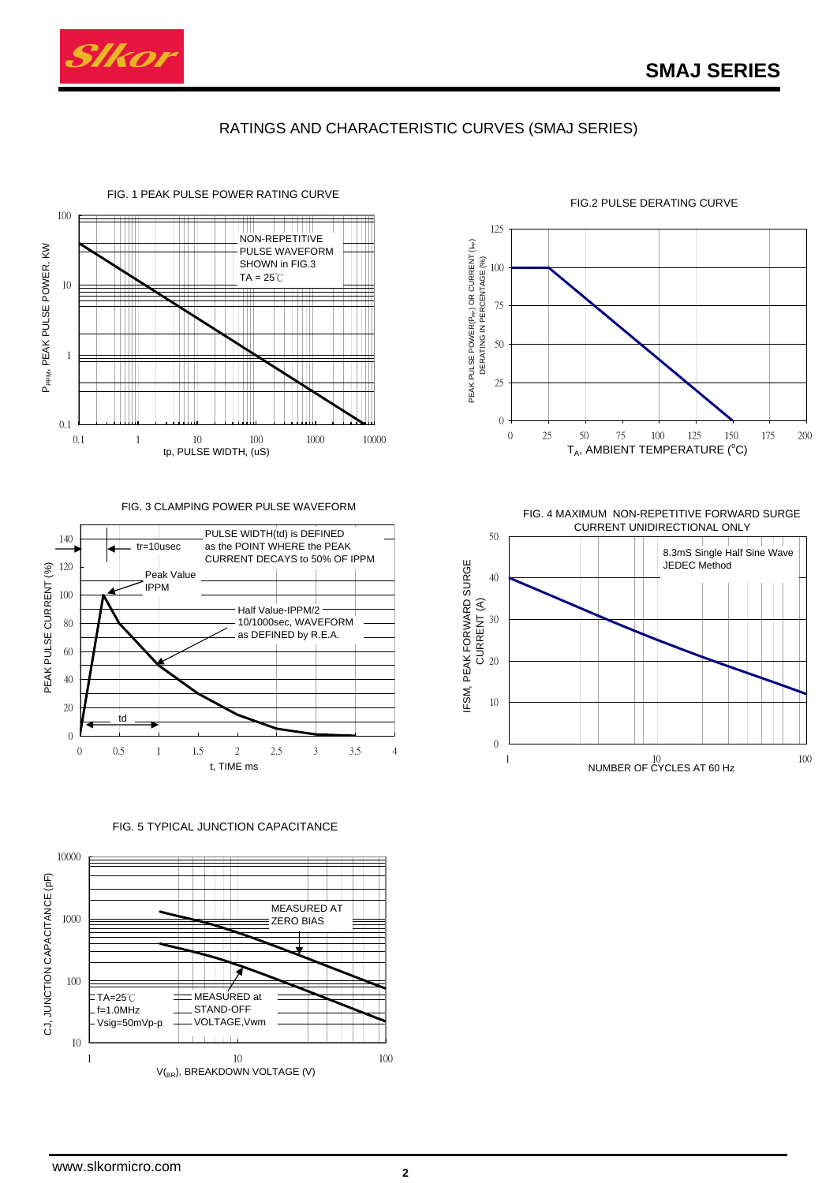

# RATINGS AND CHARACTERISTIC CURVES (SMAJ SERIES)



FIG. 3 CLAMPING POWER PULSE WAVEFORM



FIG. 5 TYPICAL JUNCTION CAPACITANCE





FIG.2 PULSE DERATING CURVE

FIG. 4 MAXIMUM NON-REPETITIVE FORWARD SURGE CURRENT UNIDIRECTIONAL ONLY

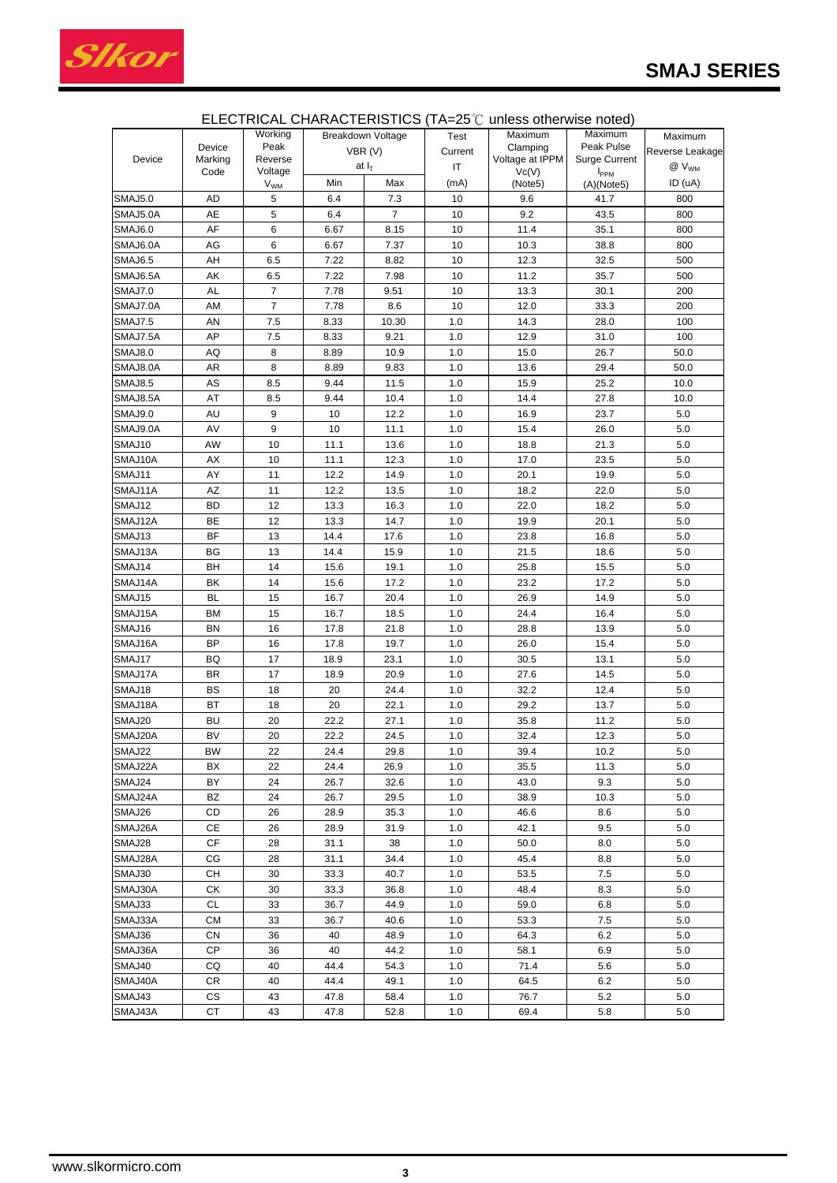

|                |           | Working         |                   | <b>Breakdown Voltage</b> | Test    | Maximum         | Maximum              | Maximum         |
|----------------|-----------|-----------------|-------------------|--------------------------|---------|-----------------|----------------------|-----------------|
|                | Device    | Peak            | VBR(V)<br>at $IT$ |                          | Current | Clamping        | Peak Pulse           |                 |
| Device         | Marking   | Reverse         |                   |                          |         | Voltage at IPPM | <b>Surge Current</b> | Reverse Leakage |
|                | Code      | Voltage         |                   |                          | IT      | Vc(V)           | I <sub>PPM</sub>     | $@V_{WM}$       |
|                |           | V <sub>WM</sub> | Min               | Max                      | (mA)    | (Note5)         | (A)(Note5)           | ID (uA)         |
| <b>SMAJ5.0</b> | AD        | 5               | 6.4               | 7.3                      | 10      | 9.6             | 41.7                 | 800             |
| SMAJ5.0A       | AE        | 5               | 6.4               | $\overline{7}$           | 10      | 9.2             | 43.5                 | 800             |
| SMAJ6.0        | AF        | 6               | 6.67              | 8.15                     | 10      | 11.4            | 35.1                 | 800             |
| SMAJ6.0A       | AG        | 6               | 6.67              | 7.37                     | 10      | 10.3            | 38.8                 | 800             |
| SMAJ6.5        | AH        | 6.5             | 7.22              | 8.82                     | 10      | 12.3            | 32.5                 | 500             |
| SMAJ6.5A       | AΚ        | 6.5             | 7.22              | 7.98                     | 10      | 11.2            | 35.7                 | 500             |
| <b>SMAJ7.0</b> | AL        | $\overline{7}$  | 7.78              | 9.51                     | 10      | 13.3            | 30.1                 | 200             |
| SMAJ7.0A       | AM        | $\overline{7}$  | 7.78              | 8.6                      | 10      | 12.0            | 33.3                 | 200             |
| <b>SMAJ7.5</b> | AN        | 7.5             | 8.33              | 10.30                    | 1.0     | 14.3            | 28.0                 | 100             |
| SMAJ7.5A       | AP        | 7.5             | 8.33              | 9.21                     | 1.0     | 12.9            | 31.0                 | 100             |
| <b>SMAJ8.0</b> | AQ        | 8               | 8.89              | 10.9                     | 1.0     | 15.0            | 26.7                 | 50.0            |
| SMAJ8.0A       | AR        | 8               | 8.89              | 9.83                     | 1.0     | 13.6            | 29.4                 | 50.0            |
| <b>SMAJ8.5</b> | AS        | 8.5             | 9.44              | 11.5                     | 1.0     | 15.9            | 25.2                 | 10.0            |
| SMAJ8.5A       | AT        | 8.5             | 9.44              | 10.4                     | 1.0     | 14.4            | 27.8                 | 10.0            |
| SMAJ9.0        | AU        | 9               | 10                | 12.2                     | 1.0     | 16.9            | 23.7                 | 5.0             |
| SMAJ9.0A       | AV        | 9               | 10                | 11.1                     | 1.0     | 15.4            | 26.0                 | 5.0             |
| SMAJ10         | AW        | 10              | 11.1              | 13.6                     | 1.0     | 18.8            | 21.3                 | 5.0             |
| SMAJ10A        | АX        | 10              | 11.1              | 12.3                     | 1.0     | 17.0            | 23.5                 | 5.0             |
| SMAJ11         | AY        | 11              | 12.2              | 14.9                     | 1.0     | 20.1            | 19.9                 | 5.0             |
| SMAJ11A        | AZ        | 11              | 12.2              | 13.5                     | 1.0     | 18.2            | 22.0                 | 5.0             |
| SMAJ12         | <b>BD</b> | 12              | 13.3              | 16.3                     | 1.0     | 22.0            | 18.2                 | 5.0             |
| SMAJ12A        | ВE        | 12              | 13.3              | 14.7                     | 1.0     | 19.9            | 20.1                 | 5.0             |
| SMAJ13         | BF        | 13              | 14.4              | 17.6                     | 1.0     | 23.8            | 16.8                 | 5.0             |
| SMAJ13A        | BG        | 13              | 14.4              | 15.9                     | 1.0     | 21.5            | 18.6                 | 5.0             |
| SMAJ14         | BH        | 14              | 15.6              | 19.1                     | 1.0     | 25.8            | 15.5                 | 5.0             |
| SMAJ14A        | ΒK        | 14              | 15.6              | 17.2                     | 1.0     | 23.2            | 17.2                 | 5.0             |
| SMAJ15         | <b>BL</b> | 15              | 16.7              | 20.4                     | 1.0     | 26.9            | 14.9                 | 5.0             |
| SMAJ15A        | <b>BM</b> | 15              | 16.7              | 18.5                     | 1.0     | 24.4            | 16.4                 | 5.0             |
| SMAJ16         | BN        | 16              | 17.8              | 21.8                     | 1.0     | 28.8            | 13.9                 | 5.0             |
| SMAJ16A        | BP        | 16              | 17.8              | 19.7                     | 1.0     | 26.0            | 15.4                 | 5.0             |
| SMAJ17         | BQ        | 17              | 18.9              | 23.1                     | 1.0     | 30.5            | 13.1                 | 5.0             |
| SMAJ17A        | BR        | 17              | 18.9              | 20.9                     | 1.0     | 27.6            | 14.5                 | 5.0             |
| SMAJ18         | BS        | 18              | 20                | 24.4                     | 1.0     | 32.2            | 12.4                 | 5.0             |
| SMAJ18A        | BT        | 18              | 20                | 22.1                     | 1.0     | 29.2            | 13.7                 | 5.0             |
| SMAJ20         | <b>BU</b> | 20              | 22.2              | 27.1                     | 1.0     | 35.8            | 11.2                 | 5.0             |
| SMAJ20A        | <b>BV</b> | 20              | 22.2              | 24.5                     | 1.0     | 32.4            | 12.3                 | 5.0             |
| SMAJ22         | <b>BW</b> | 22              | 24.4              | 29.8                     | 1.0     | 39.4            | 10.2                 | 5.0             |
| SMAJ22A        | ВX        | 22              | 24.4              | 26.9                     | 1.0     | 35.5            | 11.3                 | 5.0             |
| SMAJ24         | BY        | 24              | 26.7              | 32.6                     | 1.0     | 43.0            | 9.3                  | 5.0             |
| SMAJ24A        | BZ        | 24              | 26.7              | 29.5                     | 1.0     | 38.9            | 10.3                 | 5.0             |
| SMAJ26         | CD        | 26              | 28.9              | 35.3                     | 1.0     | 46.6            | 8.6                  | 5.0             |
| SMAJ26A        | СE        | 26              | 28.9              | 31.9                     | 1.0     | 42.1            | 9.5                  | 5.0             |
| SMAJ28         | СF        | 28              | 31.1              | 38                       | 1.0     | 50.0            | 8.0                  | 5.0             |
| SMAJ28A        | CG        | 28              | 31.1              | 34.4                     | 1.0     | 45.4            | 8.8                  | 5.0             |
| SMAJ30         | CН        | 30              | 33.3              | 40.7                     | 1.0     | 53.5            | 7.5                  | 5.0             |
| SMAJ30A        | СK        | 30              | 33.3              | 36.8                     | 1.0     | 48.4            | 8.3                  | 5.0             |
| SMAJ33         | CL        | 33              | 36.7              | 44.9                     | 1.0     | 59.0            | 6.8                  | 5.0             |
| SMAJ33A        | СM        | 33              | 36.7              | 40.6                     | 1.0     | 53.3            | 7.5                  | 5.0             |
| SMAJ36         | СN        | 36              | 40                | 48.9                     | 1.0     | 64.3            | 6.2                  | 5.0             |
| SMAJ36A        | СP        | 36              | 40                | 44.2                     | 1.0     | 58.1            | 6.9                  | 5.0             |
| SMAJ40         | CQ        | 40              | 44.4              | 54.3                     | 1.0     | 71.4            | 5.6                  | 5.0             |
| SMAJ40A        | CR        | 40              | 44.4              | 49.1                     | 1.0     | 64.5            | 6.2                  | 5.0             |
| SMAJ43         | СS        | 43              | 47.8              | 58.4                     | 1.0     | 76.7            | 5.2                  | 5.0             |
|                |           |                 |                   |                          |         |                 |                      |                 |
| SMAJ43A        | СT        | 43              | 47.8              | 52.8                     | 1.0     | 69.4            | 5.8                  | 5.0             |

# ELECTRICAL CHARACTERISTICS (TA=25℃ unless otherwise noted)